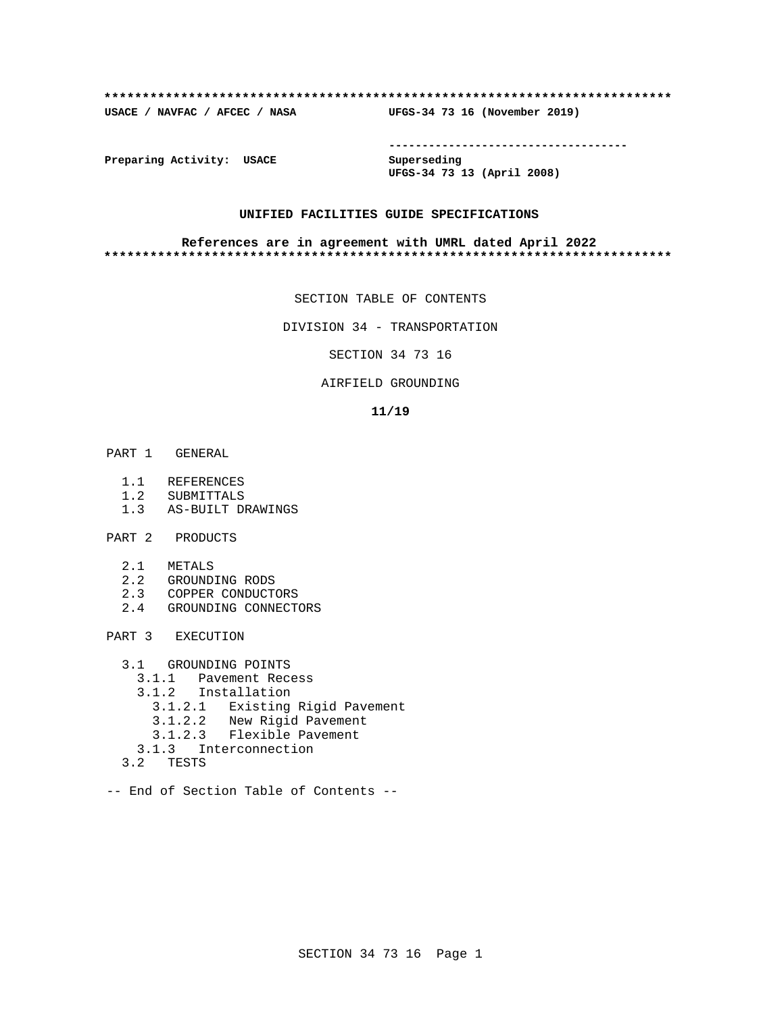#### **\*\*\*\*\*\*\*\*\*\*\*\*\*\*\*\*\*\*\*\*\*\*\*\*\*\*\*\*\*\*\*\*\*\*\*\*\*\*\*\*\*\*\*\*\*\*\*\*\*\*\*\*\*\*\*\*\*\*\*\*\*\*\*\*\*\*\*\*\*\*\*\*\*\***

**USACE / NAVFAC / AFCEC / NASA UFGS-34 73 16 (November 2019)**

**------------------------------------**

**Preparing Activity: USACE Superseding**

**UFGS-34 73 13 (April 2008)**

## **UNIFIED FACILITIES GUIDE SPECIFICATIONS**

#### **References are in agreement with UMRL dated April 2022 \*\*\*\*\*\*\*\*\*\*\*\*\*\*\*\*\*\*\*\*\*\*\*\*\*\*\*\*\*\*\*\*\*\*\*\*\*\*\*\*\*\*\*\*\*\*\*\*\*\*\*\*\*\*\*\*\*\*\*\*\*\*\*\*\*\*\*\*\*\*\*\*\*\***

SECTION TABLE OF CONTENTS

DIVISION 34 - TRANSPORTATION

SECTION 34 73 16

## AIRFIELD GROUNDING

#### **11/19**

- PART 1 GENERAL
	- 1.1 REFERENCES
	- 1.2 SUBMITTALS
	- 1.3 AS-BUILT DRAWINGS
- PART 2 PRODUCTS
	- 2.1 METALS
	- 2.2 GROUNDING RODS
	- 2.3 COPPER CONDUCTORS
	- 2.4 GROUNDING CONNECTORS

PART 3 EXECUTION

- 3.1 GROUNDING POINTS
	- 3.1.1 Pavement Recess
	- 3.1.2 Installation
		- 3.1.2.1 Existing Rigid Pavement
		- 3.1.2.2 New Rigid Pavement
		- 3.1.2.3 Flexible Pavement
	- 3.1.3 Interconnection
- 3.2 TESTS
- -- End of Section Table of Contents --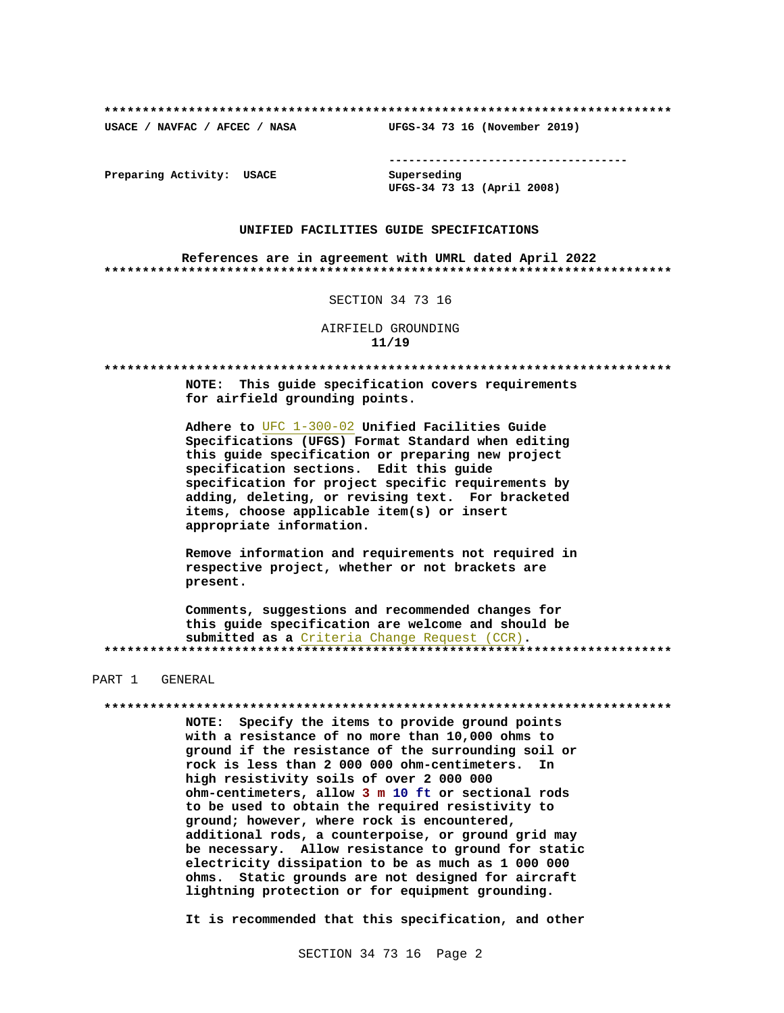USACE / NAVFAC / AFCEC / NASA

--------------------------------------

Preparing Activity: USACE

Superseding UFGS-34 73 13 (April 2008)

UFGS-34 73 16 (November 2019)

## UNIFIED FACILITIES GUIDE SPECIFICATIONS

References are in agreement with UMRL dated April 2022 

#### SECTION 34 73 16

AIRFIELD GROUNDING  $11/19$ 

NOTE: This quide specification covers requirements for airfield grounding points.

Adhere to UFC 1-300-02 Unified Facilities Guide Specifications (UFGS) Format Standard when editing this guide specification or preparing new project specification sections. Edit this quide specification for project specific requirements by adding, deleting, or revising text. For bracketed items, choose applicable item(s) or insert appropriate information.

Remove information and requirements not required in respective project, whether or not brackets are present.

Comments, suggestions and recommended changes for this guide specification are welcome and should be submitted as a Criteria Change Request (CCR). 

## PART 1 GENERAL

#### 

NOTE: Specify the items to provide ground points with a resistance of no more than 10,000 ohms to ground if the resistance of the surrounding soil or rock is less than 2 000 000 ohm-centimeters. In high resistivity soils of over 2 000 000 ohm-centimeters, allow 3 m 10 ft or sectional rods to be used to obtain the required resistivity to ground; however, where rock is encountered, additional rods, a counterpoise, or ground grid may be necessary. Allow resistance to ground for static electricity dissipation to be as much as 1 000 000 ohms. Static grounds are not designed for aircraft lightning protection or for equipment grounding.

It is recommended that this specification, and other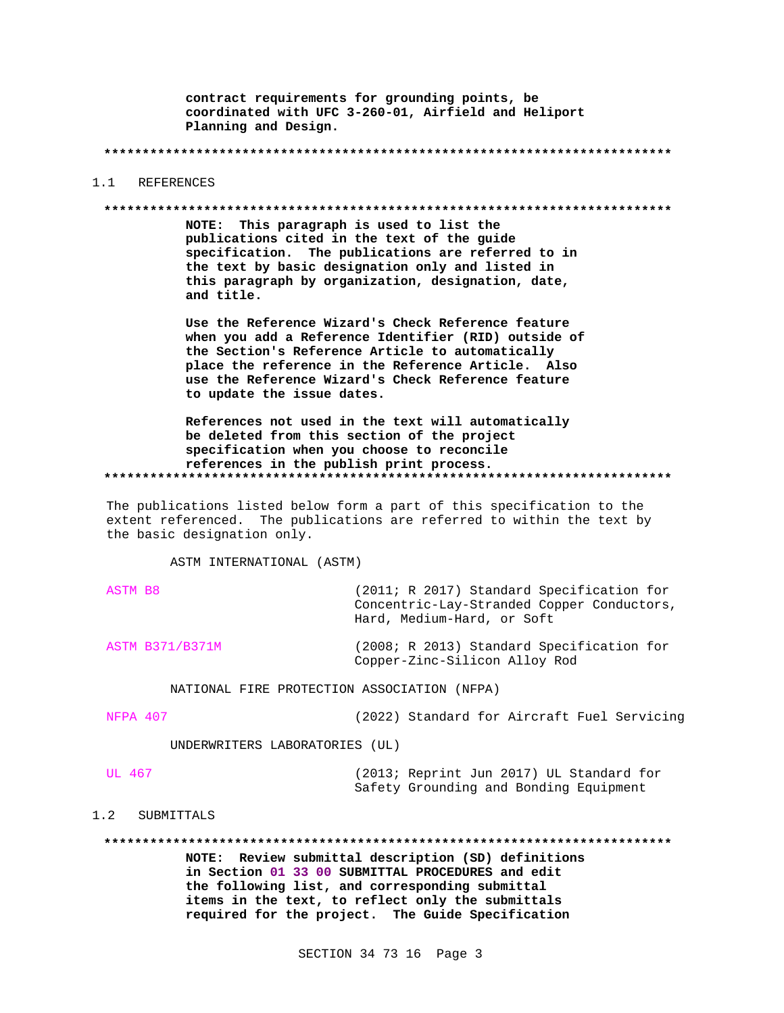contract requirements for grounding points, be coordinated with UFC 3-260-01, Airfield and Heliport Planning and Design.

REFERENCES  $1 \quad 1$ 

#### 

NOTE: This paragraph is used to list the publications cited in the text of the guide specification. The publications are referred to in the text by basic designation only and listed in this paragraph by organization, designation, date, and title.

Use the Reference Wizard's Check Reference feature when you add a Reference Identifier (RID) outside of the Section's Reference Article to automatically place the reference in the Reference Article. Also use the Reference Wizard's Check Reference feature to update the issue dates.

References not used in the text will automatically be deleted from this section of the project specification when you choose to reconcile references in the publish print process. 

The publications listed below form a part of this specification to the extent referenced. The publications are referred to within the text by the basic designation only.

ASTM INTERNATIONAL (ASTM)

| ASTM B8                | (2011; R 2017) Standard Specification for<br>Concentric-Lay-Stranded Copper Conductors,<br>Hard, Medium-Hard, or Soft |
|------------------------|-----------------------------------------------------------------------------------------------------------------------|
| <b>ASTM B371/B371M</b> | (2008; R 2013) Standard Specification for<br>Copper-Zinc-Silicon Alloy Rod                                            |

NATIONAL FIRE PROTECTION ASSOCIATION (NFPA)

NFPA 407

(2022) Standard for Aircraft Fuel Servicing

UNDERWRITERS LABORATORIES (UL)

#### **UL 467**

(2013; Reprint Jun 2017) UL Standard for Safety Grounding and Bonding Equipment

#### $1.2$ SUBMITTALS

NOTE: Review submittal description (SD) definitions in Section 01 33 00 SUBMITTAL PROCEDURES and edit the following list, and corresponding submittal items in the text, to reflect only the submittals required for the project. The Guide Specification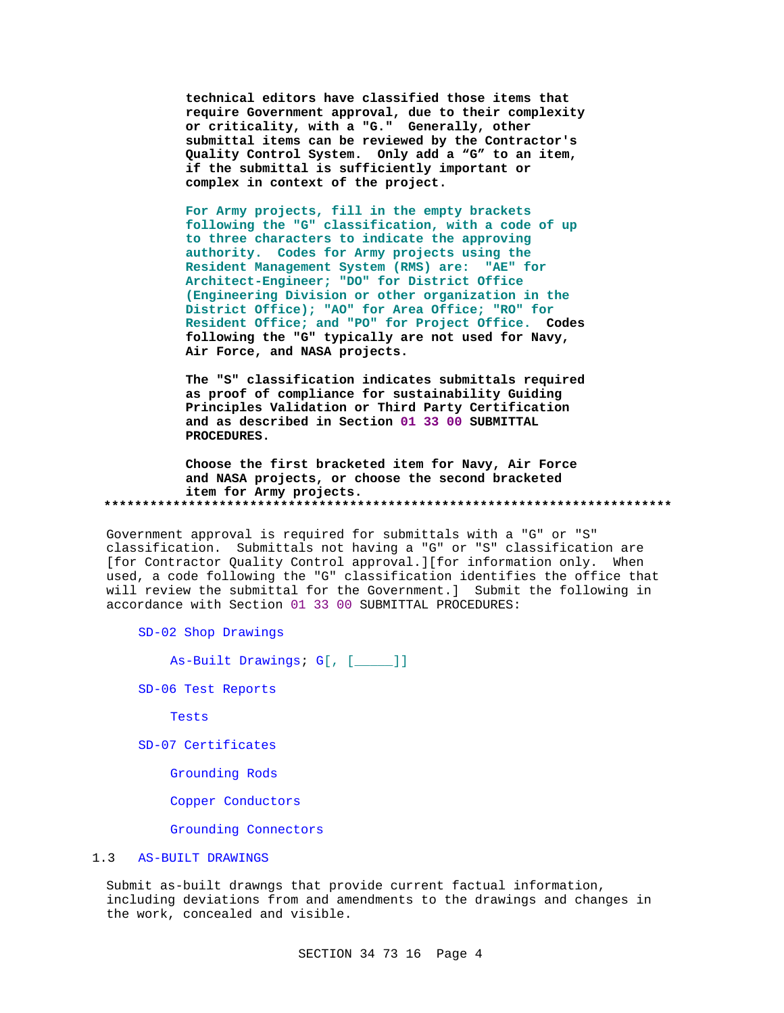technical editors have classified those items that require Government approval, due to their complexity or criticality, with a "G." Generally, other submittal items can be reviewed by the Contractor's Quality Control System. Only add a "G" to an item, if the submittal is sufficiently important or complex in context of the project.

For Army projects, fill in the empty brackets following the "G" classification, with a code of up to three characters to indicate the approving authority. Codes for Army projects using the Resident Management System (RMS) are: "AE" for Architect-Engineer; "DO" for District Office (Engineering Division or other organization in the District Office); "AO" for Area Office; "RO" for Resident Office; and "PO" for Project Office. Codes following the "G" typically are not used for Navy, Air Force, and NASA projects.

The "S" classification indicates submittals required as proof of compliance for sustainability Guiding Principles Validation or Third Party Certification and as described in Section 01 33 00 SUBMITTAL PROCEDURES.

Choose the first bracketed item for Navy, Air Force and NASA projects, or choose the second bracketed item for Army projects. 

Government approval is required for submittals with a "G" or "S" classification. Submittals not having a "G" or "S" classification are [for Contractor Quality Control approval.][for information only. When used, a code following the "G" classification identifies the office that will review the submittal for the Government.] Submit the following in accordance with Section 01 33 00 SUBMITTAL PROCEDURES:

SD-02 Shop Drawings

As-Built Drawings; G[, [\_\_\_\_]]

SD-06 Test Reports

Tests

SD-07 Certificates

Grounding Rods

Copper Conductors

Grounding Connectors

#### $1.3$ **AS-BUILT DRAWINGS**

Submit as-built drawngs that provide current factual information, including deviations from and amendments to the drawings and changes in the work, concealed and visible.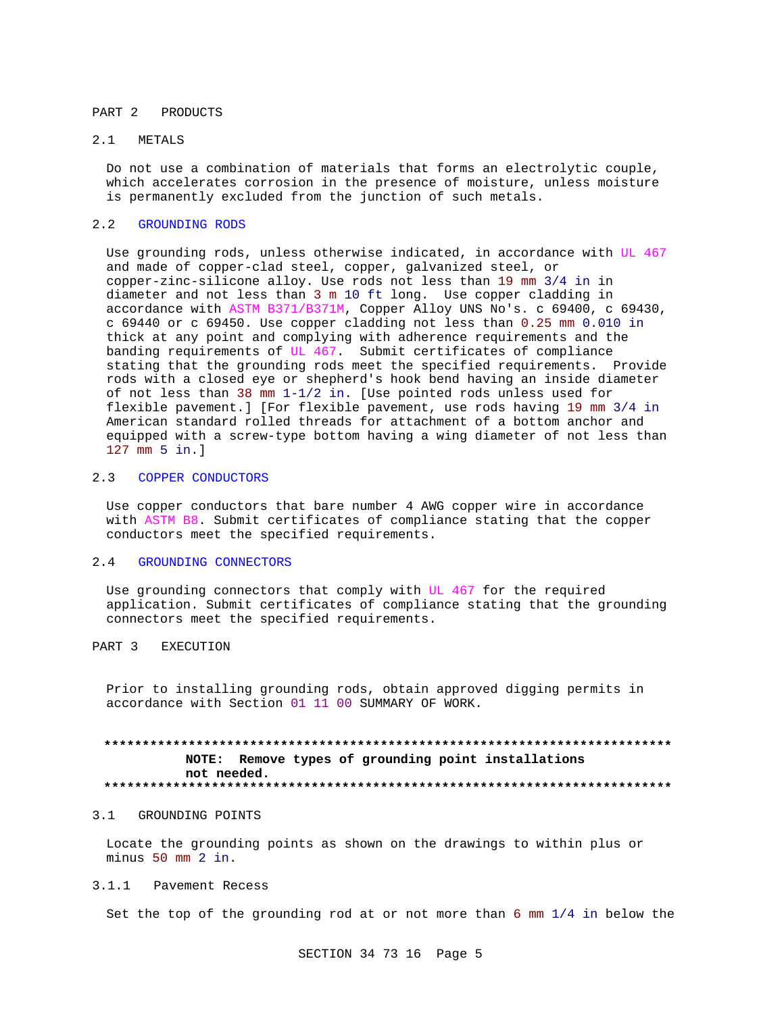#### PART 2 PRODUCTS

## 2.1 METALS

Do not use a combination of materials that forms an electrolytic couple, which accelerates corrosion in the presence of moisture, unless moisture is permanently excluded from the junction of such metals.

#### 2.2 GROUNDING RODS

Use grounding rods, unless otherwise indicated, in accordance with UL 467 and made of copper-clad steel, copper, galvanized steel, or copper-zinc-silicone alloy. Use rods not less than 19 mm 3/4 in in diameter and not less than 3 m 10 ft long. Use copper cladding in accordance with ASTM B371/B371M, Copper Alloy UNS No's. c 69400, c 69430, c 69440 or c 69450. Use copper cladding not less than 0.25 mm 0.010 in thick at any point and complying with adherence requirements and the banding requirements of UL 467. Submit certificates of compliance stating that the grounding rods meet the specified requirements. Provide rods with a closed eye or shepherd's hook bend having an inside diameter of not less than 38 mm 1-1/2 in. [Use pointed rods unless used for flexible pavement.] [For flexible pavement, use rods having 19 mm 3/4 in American standard rolled threads for attachment of a bottom anchor and equipped with a screw-type bottom having a wing diameter of not less than 127 mm 5 in.]

## 2.3 COPPER CONDUCTORS

Use copper conductors that bare number 4 AWG copper wire in accordance with ASTM B8. Submit certificates of compliance stating that the copper conductors meet the specified requirements.

## 2.4 GROUNDING CONNECTORS

Use grounding connectors that comply with UL 467 for the required application. Submit certificates of compliance stating that the grounding connectors meet the specified requirements.

# PART 3 EXECUTION

Prior to installing grounding rods, obtain approved digging permits in accordance with Section 01 11 00 SUMMARY OF WORK.

# **\*\*\*\*\*\*\*\*\*\*\*\*\*\*\*\*\*\*\*\*\*\*\*\*\*\*\*\*\*\*\*\*\*\*\*\*\*\*\*\*\*\*\*\*\*\*\*\*\*\*\*\*\*\*\*\*\*\*\*\*\*\*\*\*\*\*\*\*\*\*\*\*\*\* NOTE: Remove types of grounding point installations not needed. \*\*\*\*\*\*\*\*\*\*\*\*\*\*\*\*\*\*\*\*\*\*\*\*\*\*\*\*\*\*\*\*\*\*\*\*\*\*\*\*\*\*\*\*\*\*\*\*\*\*\*\*\*\*\*\*\*\*\*\*\*\*\*\*\*\*\*\*\*\*\*\*\*\***

#### 3.1 GROUNDING POINTS

Locate the grounding points as shown on the drawings to within plus or minus 50 mm 2 in.

## 3.1.1 Pavement Recess

Set the top of the grounding rod at or not more than 6 mm 1/4 in below the